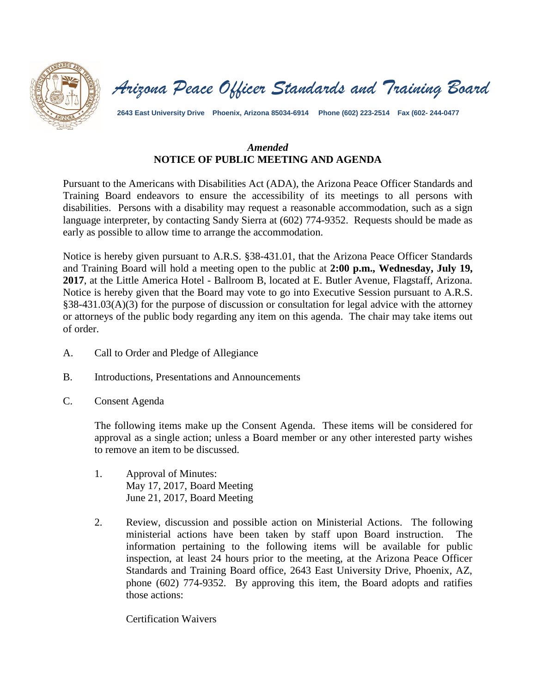

*Arizona Peace Officer Standards and Training Board*

**2643 East University Drive Phoenix, Arizona 85034-6914 Phone (602) 223-2514 Fax (602- 244-0477**

# *Amended* **NOTICE OF PUBLIC MEETING AND AGENDA**

Pursuant to the Americans with Disabilities Act (ADA), the Arizona Peace Officer Standards and Training Board endeavors to ensure the accessibility of its meetings to all persons with disabilities. Persons with a disability may request a reasonable accommodation, such as a sign language interpreter, by contacting Sandy Sierra at (602) 774-9352. Requests should be made as early as possible to allow time to arrange the accommodation.

Notice is hereby given pursuant to A.R.S. §38-431.01, that the Arizona Peace Officer Standards and Training Board will hold a meeting open to the public at **2:00 p.m., Wednesday, July 19, 2017**, at the Little America Hotel - Ballroom B, located at E. Butler Avenue, Flagstaff, Arizona. Notice is hereby given that the Board may vote to go into Executive Session pursuant to A.R.S. §38-431.03(A)(3) for the purpose of discussion or consultation for legal advice with the attorney or attorneys of the public body regarding any item on this agenda. The chair may take items out of order.

- A. Call to Order and Pledge of Allegiance
- B. Introductions, Presentations and Announcements
- C. Consent Agenda

The following items make up the Consent Agenda. These items will be considered for approval as a single action; unless a Board member or any other interested party wishes to remove an item to be discussed.

- 1. Approval of Minutes: May 17, 2017, Board Meeting June 21, 2017, Board Meeting
- 2. Review, discussion and possible action on Ministerial Actions. The following ministerial actions have been taken by staff upon Board instruction. The information pertaining to the following items will be available for public inspection, at least 24 hours prior to the meeting, at the Arizona Peace Officer Standards and Training Board office, 2643 East University Drive, Phoenix, AZ, phone (602) 774-9352. By approving this item, the Board adopts and ratifies those actions:

Certification Waivers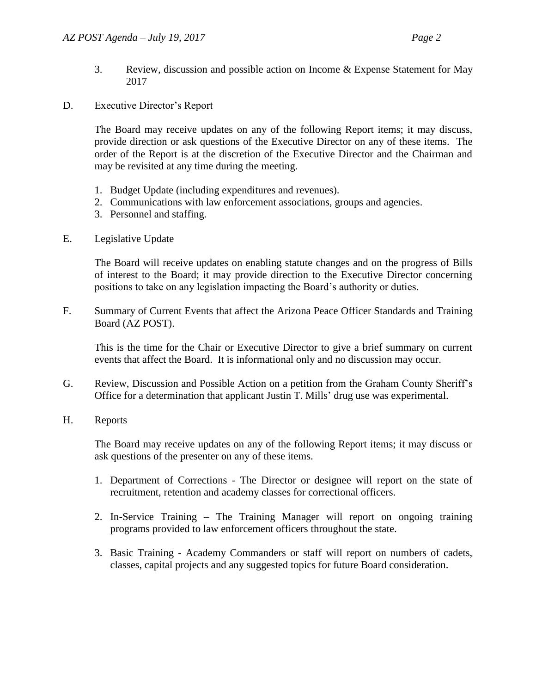- 3. Review, discussion and possible action on Income & Expense Statement for May 2017
- D. Executive Director's Report

The Board may receive updates on any of the following Report items; it may discuss, provide direction or ask questions of the Executive Director on any of these items. The order of the Report is at the discretion of the Executive Director and the Chairman and may be revisited at any time during the meeting.

- 1. Budget Update (including expenditures and revenues).
- 2. Communications with law enforcement associations, groups and agencies.
- 3. Personnel and staffing.
- E. Legislative Update

The Board will receive updates on enabling statute changes and on the progress of Bills of interest to the Board; it may provide direction to the Executive Director concerning positions to take on any legislation impacting the Board's authority or duties.

F. Summary of Current Events that affect the Arizona Peace Officer Standards and Training Board (AZ POST).

This is the time for the Chair or Executive Director to give a brief summary on current events that affect the Board. It is informational only and no discussion may occur.

- G. Review, Discussion and Possible Action on a petition from the Graham County Sheriff's Office for a determination that applicant Justin T. Mills' drug use was experimental.
- H. Reports

The Board may receive updates on any of the following Report items; it may discuss or ask questions of the presenter on any of these items.

- 1. Department of Corrections The Director or designee will report on the state of recruitment, retention and academy classes for correctional officers.
- 2. In-Service Training The Training Manager will report on ongoing training programs provided to law enforcement officers throughout the state.
- 3. Basic Training Academy Commanders or staff will report on numbers of cadets, classes, capital projects and any suggested topics for future Board consideration.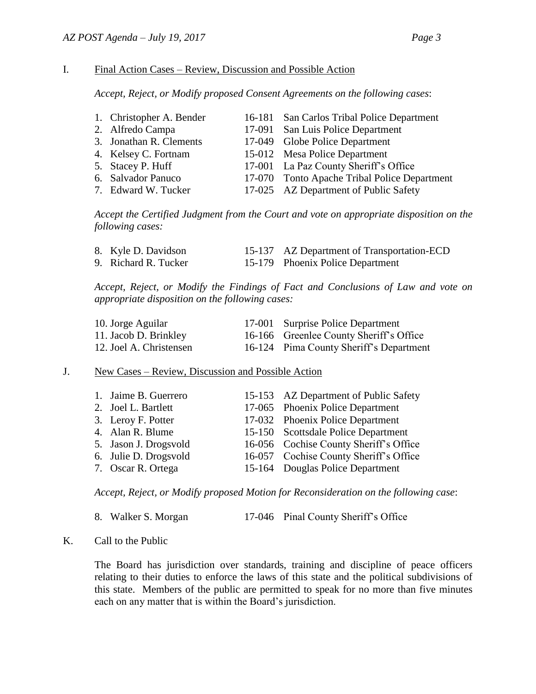## I. Final Action Cases – Review, Discussion and Possible Action

*Accept, Reject, or Modify proposed Consent Agreements on the following cases*:

| 1. Christopher A. Bender | 16-181 San Carlos Tribal Police Department   |
|--------------------------|----------------------------------------------|
| 2. Alfredo Campa         | 17-091 San Luis Police Department            |
| 3. Jonathan R. Clements  | 17-049 Globe Police Department               |
| 4. Kelsey C. Fortnam     | 15-012 Mesa Police Department                |
| 5. Stacey P. Huff        | 17-001 La Paz County Sheriff's Office        |
| 6. Salvador Panuco       | 17-070 Tonto Apache Tribal Police Department |
| 7. Edward W. Tucker      | 17-025 AZ Department of Public Safety        |

*Accept the Certified Judgment from the Court and vote on appropriate disposition on the following cases:*

| 8. Kyle D. Davidson  | 15-137 AZ Department of Transportation-ECD |
|----------------------|--------------------------------------------|
| 9. Richard R. Tucker | 15-179 Phoenix Police Department           |

*Accept, Reject, or Modify the Findings of Fact and Conclusions of Law and vote on appropriate disposition on the following cases:*

| 10. Jorge Aguilar       | 17-001 Surprise Police Department       |
|-------------------------|-----------------------------------------|
| 11. Jacob D. Brinkley   | 16-166 Greenlee County Sheriff's Office |
| 12. Joel A. Christensen | 16-124 Pima County Sheriff's Department |

### J. New Cases – Review, Discussion and Possible Action

| 1. Jaime B. Guerrero  | 15-153 AZ Department of Public Safety  |
|-----------------------|----------------------------------------|
| 2. Joel L. Bartlett   | 17-065 Phoenix Police Department       |
| 3. Leroy F. Potter    | 17-032 Phoenix Police Department       |
| 4. Alan R. Blume      | 15-150 Scottsdale Police Department    |
| 5. Jason J. Drogsvold | 16-056 Cochise County Sheriff's Office |
| 6. Julie D. Drogsvold | 16-057 Cochise County Sheriff's Office |
| 7. Oscar R. Ortega    | 15-164 Douglas Police Department       |
|                       |                                        |

*Accept, Reject, or Modify proposed Motion for Reconsideration on the following case*:

| 8. Walker S. Morgan |  | 17-046 Pinal County Sheriff's Office |
|---------------------|--|--------------------------------------|
|                     |  |                                      |

### K. Call to the Public

The Board has jurisdiction over standards, training and discipline of peace officers relating to their duties to enforce the laws of this state and the political subdivisions of this state. Members of the public are permitted to speak for no more than five minutes each on any matter that is within the Board's jurisdiction.